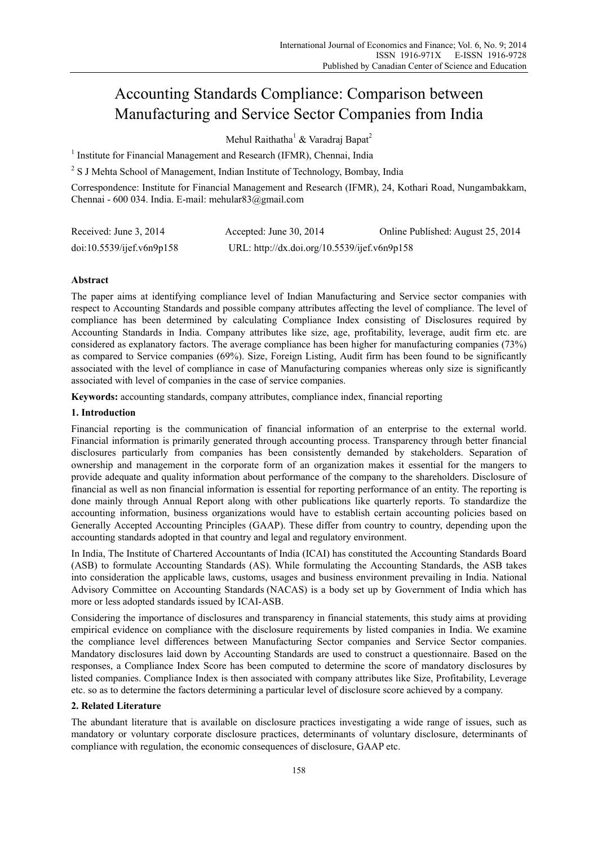# Accounting Standards Compliance: Comparison between Manufacturing and Service Sector Companies from India

Mehul Raithatha<sup>1</sup> & Varadraj Bapat<sup>2</sup>

<sup>1</sup> Institute for Financial Management and Research (IFMR), Chennai, India

<sup>2</sup> S J Mehta School of Management, Indian Institute of Technology, Bombay, India

Correspondence: Institute for Financial Management and Research (IFMR), 24, Kothari Road, Nungambakkam, Chennai - 600 034. India. E-mail: mehular83@gmail.com

| Received: June 3, 2014    | Accepted: June $30, 2014$                    | Online Published: August 25, 2014 |
|---------------------------|----------------------------------------------|-----------------------------------|
| doi:10.5539/ijef.v6n9p158 | URL: http://dx.doi.org/10.5539/ijef.v6n9p158 |                                   |

# **Abstract**

The paper aims at identifying compliance level of Indian Manufacturing and Service sector companies with respect to Accounting Standards and possible company attributes affecting the level of compliance. The level of compliance has been determined by calculating Compliance Index consisting of Disclosures required by Accounting Standards in India. Company attributes like size, age, profitability, leverage, audit firm etc. are considered as explanatory factors. The average compliance has been higher for manufacturing companies (73%) as compared to Service companies (69%). Size, Foreign Listing, Audit firm has been found to be significantly associated with the level of compliance in case of Manufacturing companies whereas only size is significantly associated with level of companies in the case of service companies.

**Keywords:** accounting standards, company attributes, compliance index, financial reporting

# **1. Introduction**

Financial reporting is the communication of financial information of an enterprise to the external world. Financial information is primarily generated through accounting process. Transparency through better financial disclosures particularly from companies has been consistently demanded by stakeholders. Separation of ownership and management in the corporate form of an organization makes it essential for the mangers to provide adequate and quality information about performance of the company to the shareholders. Disclosure of financial as well as non financial information is essential for reporting performance of an entity. The reporting is done mainly through Annual Report along with other publications like quarterly reports. To standardize the accounting information, business organizations would have to establish certain accounting policies based on Generally Accepted Accounting Principles (GAAP). These differ from country to country, depending upon the accounting standards adopted in that country and legal and regulatory environment.

In India, The Institute of Chartered Accountants of India (ICAI) has constituted the Accounting Standards Board (ASB) to formulate Accounting Standards (AS). While formulating the Accounting Standards, the ASB takes into consideration the applicable laws, customs, usages and business environment prevailing in India. National Advisory Committee on Accounting Standards (NACAS) is a body set up by Government of India which has more or less adopted standards issued by ICAI-ASB.

Considering the importance of disclosures and transparency in financial statements, this study aims at providing empirical evidence on compliance with the disclosure requirements by listed companies in India. We examine the compliance level differences between Manufacturing Sector companies and Service Sector companies. Mandatory disclosures laid down by Accounting Standards are used to construct a questionnaire. Based on the responses, a Compliance Index Score has been computed to determine the score of mandatory disclosures by listed companies. Compliance Index is then associated with company attributes like Size, Profitability, Leverage etc. so as to determine the factors determining a particular level of disclosure score achieved by a company.

# **2. Related Literature**

The abundant literature that is available on disclosure practices investigating a wide range of issues, such as mandatory or voluntary corporate disclosure practices, determinants of voluntary disclosure, determinants of compliance with regulation, the economic consequences of disclosure, GAAP etc.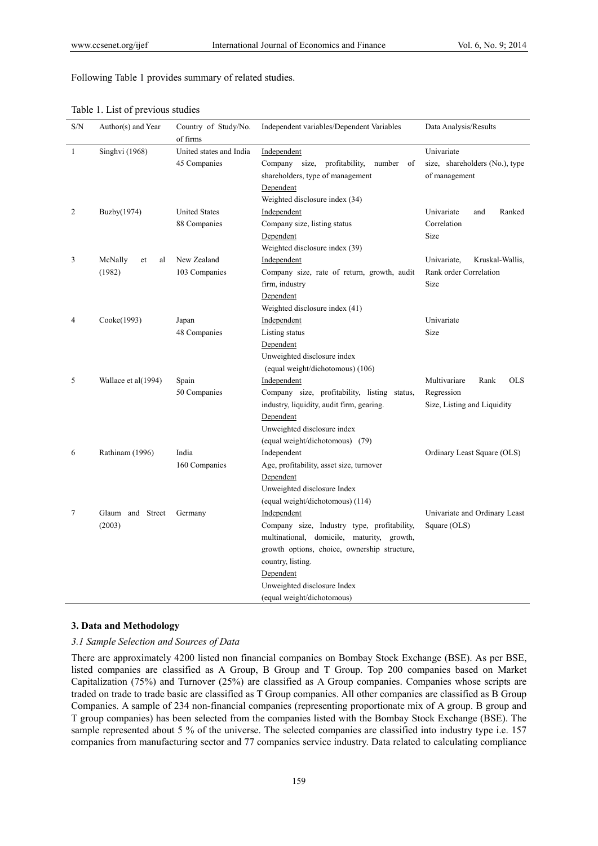Following Table 1 provides summary of related studies.

| S/N | Author(s) and Year            | Country of Study/No.<br>of firms        | Independent variables/Dependent Variables                                                                                                                                                                                                               | Data Analysis/Results                                                           |  |  |
|-----|-------------------------------|-----------------------------------------|---------------------------------------------------------------------------------------------------------------------------------------------------------------------------------------------------------------------------------------------------------|---------------------------------------------------------------------------------|--|--|
| 1   | Singhvi (1968)                | United states and India<br>45 Companies | Independent<br>Company size,<br>profitability,<br>number<br>of<br>shareholders, type of management<br>Dependent<br>Weighted disclosure index (34)                                                                                                       | Univariate<br>size, shareholders (No.), type<br>of management                   |  |  |
| 2   | Buzby(1974)                   | <b>United States</b><br>88 Companies    | Independent<br>Company size, listing status<br>Dependent<br>Weighted disclosure index (39)                                                                                                                                                              | Univariate<br>Ranked<br>and<br>Correlation<br>Size                              |  |  |
| 3   | McNally<br>et<br>al<br>(1982) | New Zealand<br>103 Companies            | Independent<br>Company size, rate of return, growth, audit<br>firm, industry<br>Dependent<br>Weighted disclosure index (41)                                                                                                                             | Univariate,<br>Kruskal-Wallis,<br>Rank order Correlation<br>Size                |  |  |
| 4   | Cooke(1993)                   | Japan<br>48 Companies                   | Independent<br>Listing status<br>Dependent<br>Unweighted disclosure index<br>(equal weight/dichotomous) (106)                                                                                                                                           | Univariate<br>Size                                                              |  |  |
| 5   | Wallace et al(1994)           | Spain<br>50 Companies                   | Independent<br>Company size, profitability, listing status,<br>industry, liquidity, audit firm, gearing.<br>Dependent<br>Unweighted disclosure index<br>(equal weight/dichotomous) (79)                                                                 | Multivariare<br><b>OLS</b><br>Rank<br>Regression<br>Size, Listing and Liquidity |  |  |
| 6   | Rathinam (1996)               | India<br>160 Companies                  | Independent<br>Age, profitability, asset size, turnover<br>Dependent<br>Unweighted disclosure Index<br>(equal weight/dichotomous) (114)                                                                                                                 | Ordinary Least Square (OLS)                                                     |  |  |
| 7   | Glaum and Street<br>(2003)    | Germany                                 | Independent<br>Company size, Industry type, profitability,<br>multinational, domicile, maturity, growth,<br>growth options, choice, ownership structure,<br>country, listing.<br>Dependent<br>Unweighted disclosure Index<br>(equal weight/dichotomous) | Univariate and Ordinary Least<br>Square (OLS)                                   |  |  |

Table 1. List of previous studies

### **3. Data and Methodology**

*3.1 Sample Selection and Sources of Data* 

There are approximately 4200 listed non financial companies on Bombay Stock Exchange (BSE). As per BSE, listed companies are classified as A Group, B Group and T Group. Top 200 companies based on Market Capitalization (75%) and Turnover (25%) are classified as A Group companies. Companies whose scripts are traded on trade to trade basic are classified as T Group companies. All other companies are classified as B Group Companies. A sample of 234 non-financial companies (representing proportionate mix of A group. B group and T group companies) has been selected from the companies listed with the Bombay Stock Exchange (BSE). The sample represented about 5 % of the universe. The selected companies are classified into industry type i.e. 157 companies from manufacturing sector and 77 companies service industry. Data related to calculating compliance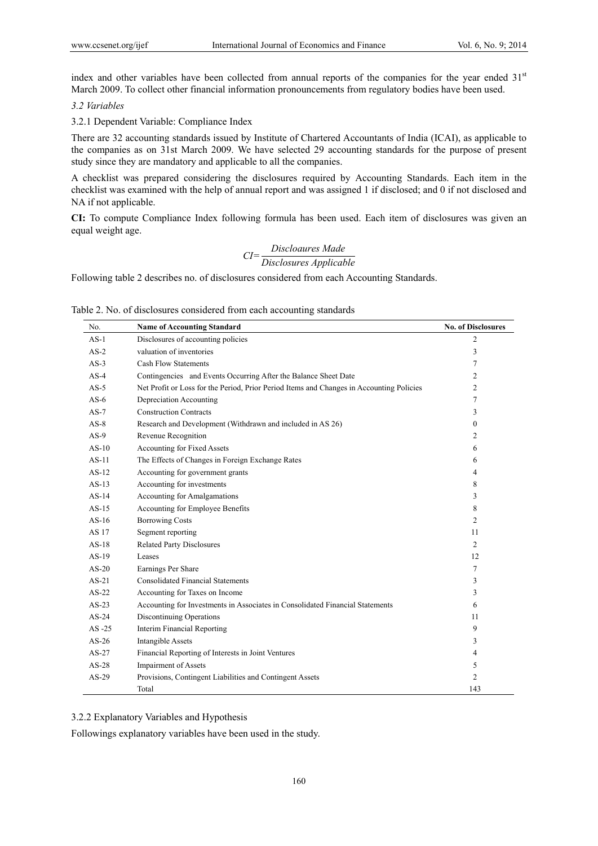index and other variables have been collected from annual reports of the companies for the year ended 31<sup>st</sup> March 2009. To collect other financial information pronouncements from regulatory bodies have been used.

#### *3.2 Variables*

3.2.1 Dependent Variable: Compliance Index

There are 32 accounting standards issued by Institute of Chartered Accountants of India (ICAI), as applicable to the companies as on 31st March 2009. We have selected 29 accounting standards for the purpose of present study since they are mandatory and applicable to all the companies.

A checklist was prepared considering the disclosures required by Accounting Standards. Each item in the checklist was examined with the help of annual report and was assigned 1 if disclosed; and 0 if not disclosed and NA if not applicable.

**CI:** To compute Compliance Index following formula has been used. Each item of disclosures was given an equal weight age.

$$
CI = \frac{Discloures Made}{Disclosures Applied}
$$

Following table 2 describes no. of disclosures considered from each Accounting Standards.

Table 2. No. of disclosures considered from each accounting standards

| No.       | <b>Name of Accounting Standard</b>                                                       | <b>No. of Disclosures</b> |
|-----------|------------------------------------------------------------------------------------------|---------------------------|
| $AS-1$    | Disclosures of accounting policies                                                       | 2                         |
| $AS-2$    | valuation of inventories                                                                 | 3                         |
| $AS-3$    | <b>Cash Flow Statements</b>                                                              | 7                         |
| $AS-4$    | Contingencies and Events Occurring After the Balance Sheet Date                          | 2                         |
| $AS-5$    | Net Profit or Loss for the Period, Prior Period Items and Changes in Accounting Policies | $\overline{c}$            |
| $AS-6$    | Depreciation Accounting                                                                  | 7                         |
| $AS-7$    | <b>Construction Contracts</b>                                                            | 3                         |
| $AS-8$    | Research and Development (Withdrawn and included in AS 26)                               | $\theta$                  |
| $AS-9$    | Revenue Recognition                                                                      | 2                         |
| $AS-10$   | Accounting for Fixed Assets                                                              | 6                         |
| $AS-11$   | The Effects of Changes in Foreign Exchange Rates                                         | 6                         |
| $AS-12$   | Accounting for government grants                                                         | 4                         |
| $AS-13$   | Accounting for investments                                                               | 8                         |
| $AS-14$   | Accounting for Amalgamations                                                             | 3                         |
| $AS-15$   | Accounting for Employee Benefits                                                         | 8                         |
| $AS-16$   | <b>Borrowing Costs</b>                                                                   | $\overline{c}$            |
| AS 17     | Segment reporting                                                                        | 11                        |
| $AS-18$   | <b>Related Party Disclosures</b>                                                         | $\overline{c}$            |
| $AS-19$   | Leases                                                                                   | 12                        |
| $AS-20$   | Earnings Per Share                                                                       | 7                         |
| $AS-21$   | <b>Consolidated Financial Statements</b>                                                 | 3                         |
| $AS-22$   | Accounting for Taxes on Income                                                           | 3                         |
| $AS-23$   | Accounting for Investments in Associates in Consolidated Financial Statements            | 6                         |
| $AS-24$   | Discontinuing Operations                                                                 | 11                        |
| $AS - 25$ | <b>Interim Financial Reporting</b>                                                       | 9                         |
| $AS-26$   | <b>Intangible Assets</b>                                                                 | 3                         |
| $AS-27$   | Financial Reporting of Interests in Joint Ventures                                       | 4                         |
| $AS-28$   | <b>Impairment of Assets</b>                                                              | 5                         |
| $AS-29$   | Provisions, Contingent Liabilities and Contingent Assets                                 | $\overline{c}$            |
|           | Total                                                                                    | 143                       |

3.2.2 Explanatory Variables and Hypothesis

Followings explanatory variables have been used in the study.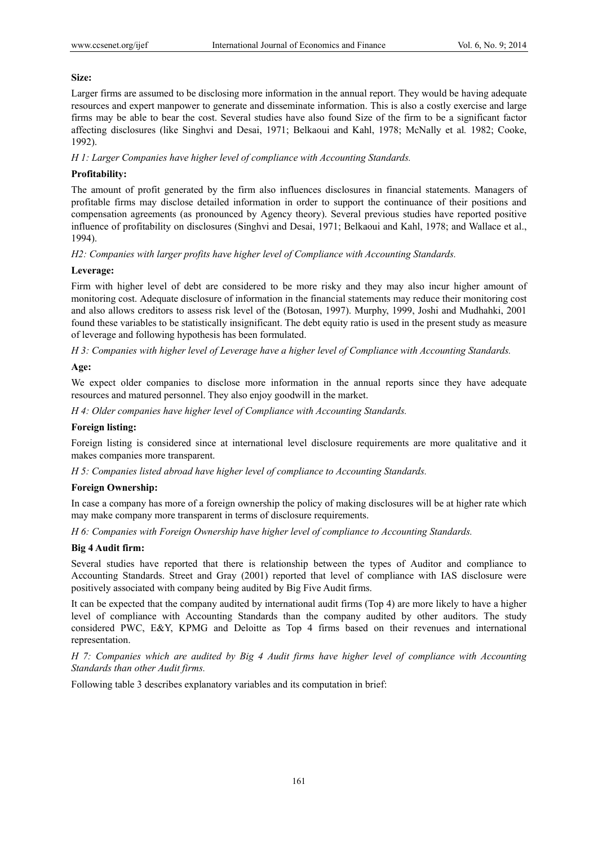# **Size:**

Larger firms are assumed to be disclosing more information in the annual report. They would be having adequate resources and expert manpower to generate and disseminate information. This is also a costly exercise and large firms may be able to bear the cost. Several studies have also found Size of the firm to be a significant factor affecting disclosures (like Singhvi and Desai, 1971; Belkaoui and Kahl, 1978; McNally et al*.* 1982; Cooke, 1992).

*H 1: Larger Companies have higher level of compliance with Accounting Standards.* 

# **Profitability:**

The amount of profit generated by the firm also influences disclosures in financial statements. Managers of profitable firms may disclose detailed information in order to support the continuance of their positions and compensation agreements (as pronounced by Agency theory). Several previous studies have reported positive influence of profitability on disclosures (Singhvi and Desai, 1971; Belkaoui and Kahl, 1978; and Wallace et al., 1994).

*H2: Companies with larger profits have higher level of Compliance with Accounting Standards.* 

# **Leverage:**

Firm with higher level of debt are considered to be more risky and they may also incur higher amount of monitoring cost. Adequate disclosure of information in the financial statements may reduce their monitoring cost and also allows creditors to assess risk level of the (Botosan, 1997). Murphy, 1999, Joshi and Mudhahki, 2001 found these variables to be statistically insignificant. The debt equity ratio is used in the present study as measure of leverage and following hypothesis has been formulated.

*H 3: Companies with higher level of Leverage have a higher level of Compliance with Accounting Standards.* 

# **Age:**

We expect older companies to disclose more information in the annual reports since they have adequate resources and matured personnel. They also enjoy goodwill in the market.

*H 4: Older companies have higher level of Compliance with Accounting Standards.* 

## **Foreign listing:**

Foreign listing is considered since at international level disclosure requirements are more qualitative and it makes companies more transparent.

*H 5: Companies listed abroad have higher level of compliance to Accounting Standards.* 

#### **Foreign Ownership:**

In case a company has more of a foreign ownership the policy of making disclosures will be at higher rate which may make company more transparent in terms of disclosure requirements.

*H 6: Companies with Foreign Ownership have higher level of compliance to Accounting Standards.* 

#### **Big 4 Audit firm:**

Several studies have reported that there is relationship between the types of Auditor and compliance to Accounting Standards. Street and Gray (2001) reported that level of compliance with IAS disclosure were positively associated with company being audited by Big Five Audit firms.

It can be expected that the company audited by international audit firms (Top 4) are more likely to have a higher level of compliance with Accounting Standards than the company audited by other auditors. The study considered PWC, E&Y, KPMG and Deloitte as Top 4 firms based on their revenues and international representation.

*H 7: Companies which are audited by Big 4 Audit firms have higher level of compliance with Accounting Standards than other Audit firms.*

Following table 3 describes explanatory variables and its computation in brief: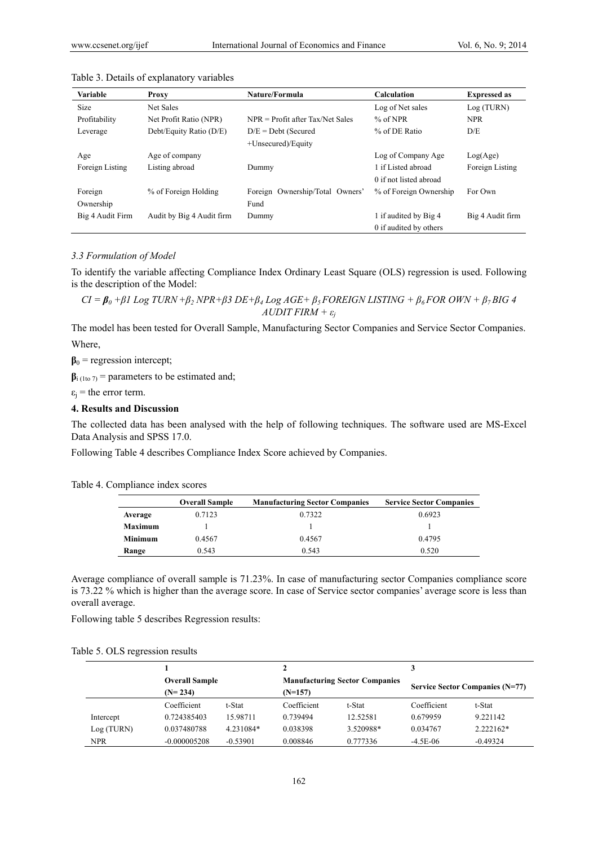| <b>Variable</b>  | Proxy                     | Nature/Formula                     | <b>Calculation</b>     | <b>Expressed as</b> |
|------------------|---------------------------|------------------------------------|------------------------|---------------------|
| <b>Size</b>      | Net Sales                 |                                    | Log of Net sales       | Log (TURN)          |
| Profitability    | Net Profit Ratio (NPR)    | $NPR = Profit$ after Tax/Net Sales | $%$ of NPR             | <b>NPR</b>          |
| Leverage         | Debt/Equity Ratio (D/E)   | $D/E = Det$ (Secured               | % of DE Ratio          | D/E                 |
|                  |                           | +Unsecured)/Equity                 |                        |                     |
| Age              | Age of company            |                                    | Log of Company Age     | Log(Age)            |
| Foreign Listing  | Listing abroad            | Dummy                              | 1 if Listed abroad     | Foreign Listing     |
|                  |                           |                                    | 0 if not listed abroad |                     |
| Foreign          | % of Foreign Holding      | Foreign Ownership/Total Owners'    | % of Foreign Ownership | For Own             |
| Ownership        |                           | Fund                               |                        |                     |
| Big 4 Audit Firm | Audit by Big 4 Audit firm | Dummy                              | 1 if audited by Big 4  | Big 4 Audit firm    |
|                  |                           |                                    | 0 if audited by others |                     |

#### Table 3. Details of explanatory variables

#### *3.3 Formulation of Model*

To identify the variable affecting Compliance Index Ordinary Least Square (OLS) regression is used. Following is the description of the Model:

 $CI = \beta_0 + \beta I$  Log TURN +  $\beta_2$  NPR +  $\beta_3$  DE +  $\beta_4$  Log AGE +  $\beta_5$  FOREIGN LISTING +  $\beta_6$  FOR OWN +  $\beta_7$  BIG 4 *AUDIT FIRM + ε<sup>j</sup>*

The model has been tested for Overall Sample, Manufacturing Sector Companies and Service Sector Companies. Where,

 $\beta_0$  = regression intercept;

 $\beta$ <sub>i (1to 7)</sub> = parameters to be estimated and;

 $\varepsilon_j$  = the error term.

#### **4. Results and Discussion**

The collected data has been analysed with the help of following techniques. The software used are MS-Excel Data Analysis and SPSS 17.0.

Following Table 4 describes Compliance Index Score achieved by Companies.

Table 4. Compliance index scores

|                | <b>Overall Sample</b> | <b>Manufacturing Sector Companies</b> | <b>Service Sector Companies</b> |
|----------------|-----------------------|---------------------------------------|---------------------------------|
| Average        | 0.7123                | 0.7322                                | 0.6923                          |
| <b>Maximum</b> |                       |                                       |                                 |
| <b>Minimum</b> | 0.4567                | 0.4567                                | 0.4795                          |
| Range          | 0.543                 | 0.543                                 | 0.520                           |

Average compliance of overall sample is 71.23%. In case of manufacturing sector Companies compliance score is 73.22 % which is higher than the average score. In case of Service sector companies' average score is less than overall average.

Following table 5 describes Regression results:

|  | Table 5. OLS regression results |  |
|--|---------------------------------|--|
|  |                                 |  |

|            | <b>Overall Sample</b><br>$(N=234)$ |            |             | <b>Manufacturing Sector Companies</b> |             | Service Sector Companies (N=77) |  |
|------------|------------------------------------|------------|-------------|---------------------------------------|-------------|---------------------------------|--|
|            |                                    |            | $(N=157)$   |                                       |             |                                 |  |
|            | Coefficient                        | t-Stat     | Coefficient | t-Stat                                | Coefficient | t-Stat                          |  |
| Intercept  | 0.724385403                        | 15.98711   | 0.739494    | 12.52581                              | 0.679959    | 9.221142                        |  |
| Log (TURN) | 0.037480788                        | 4.231084*  | 0.038398    | 3.520988*                             | 0.034767    | 2.222162*                       |  |
| <b>NPR</b> | $-0.000005208$                     | $-0.53901$ | 0.008846    | 0.777336                              | $-4.5E-06$  | $-0.49324$                      |  |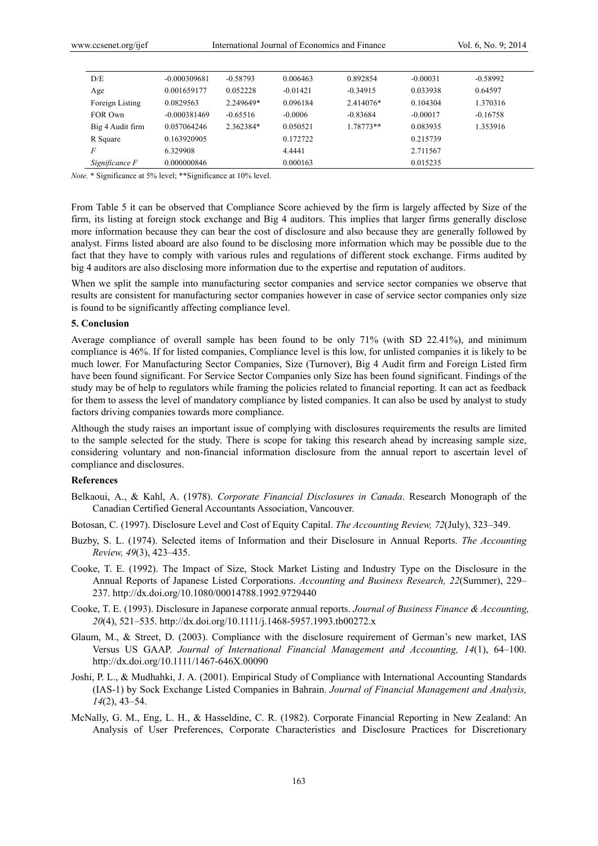| D/E              | $-0.000309681$ | $-0.58793$ | 0.006463   | 0.892854   | $-0.00031$ | $-0.58992$ |  |
|------------------|----------------|------------|------------|------------|------------|------------|--|
| Age              | 0.001659177    | 0.052228   | $-0.01421$ | $-0.34915$ | 0.033938   | 0.64597    |  |
| Foreign Listing  | 0.0829563      | 2.249649*  | 0.096184   | 2.414076*  | 0.104304   | 1.370316   |  |
| FOR Own          | $-0.000381469$ | $-0.65516$ | $-0.0006$  | $-0.83684$ | $-0.00017$ | $-0.16758$ |  |
| Big 4 Audit firm | 0.057064246    | 2.362384*  | 0.050521   | 1.78773**  | 0.083935   | 1.353916   |  |
| R Square         | 0.163920905    |            | 0.172722   |            | 0.215739   |            |  |
| F                | 6.329908       |            | 4.4441     |            | 2.711567   |            |  |
| Significance F   | 0.000000846    |            | 0.000163   |            | 0.015235   |            |  |

*Note.* \* Significance at 5% level; \*\*Significance at 10% level.

From Table 5 it can be observed that Compliance Score achieved by the firm is largely affected by Size of the firm, its listing at foreign stock exchange and Big 4 auditors. This implies that larger firms generally disclose more information because they can bear the cost of disclosure and also because they are generally followed by analyst. Firms listed aboard are also found to be disclosing more information which may be possible due to the fact that they have to comply with various rules and regulations of different stock exchange. Firms audited by big 4 auditors are also disclosing more information due to the expertise and reputation of auditors.

When we split the sample into manufacturing sector companies and service sector companies we observe that results are consistent for manufacturing sector companies however in case of service sector companies only size is found to be significantly affecting compliance level.

## **5. Conclusion**

Average compliance of overall sample has been found to be only 71% (with SD 22.41%), and minimum compliance is 46%. If for listed companies, Compliance level is this low, for unlisted companies it is likely to be much lower. For Manufacturing Sector Companies, Size (Turnover), Big 4 Audit firm and Foreign Listed firm have been found significant. For Service Sector Companies only Size has been found significant. Findings of the study may be of help to regulators while framing the policies related to financial reporting. It can act as feedback for them to assess the level of mandatory compliance by listed companies. It can also be used by analyst to study factors driving companies towards more compliance.

Although the study raises an important issue of complying with disclosures requirements the results are limited to the sample selected for the study. There is scope for taking this research ahead by increasing sample size, considering voluntary and non-financial information disclosure from the annual report to ascertain level of compliance and disclosures.

### **References**

- Belkaoui, A., & Kahl, A. (1978). *Corporate Financial Disclosures in Canada*. Research Monograph of the Canadian Certified General Accountants Association, Vancouver.
- Botosan, C. (1997). Disclosure Level and Cost of Equity Capital. *The Accounting Review, 72*(July), 323–349.
- Buzby, S. L. (1974). Selected items of Information and their Disclosure in Annual Reports. *The Accounting Review, 49*(3), 423–435.
- Cooke, T. E. (1992). The Impact of Size, Stock Market Listing and Industry Type on the Disclosure in the Annual Reports of Japanese Listed Corporations. *Accounting and Business Research, 22*(Summer), 229– 237. http://dx.doi.org/10.1080/00014788.1992.9729440
- Cooke, T. E. (1993). Disclosure in Japanese corporate annual reports. *Journal of Business Finance & Accounting, 20*(4), 521–535. http://dx.doi.org/10.1111/j.1468-5957.1993.tb00272.x
- Glaum, M., & Street, D. (2003). Compliance with the disclosure requirement of German's new market, IAS Versus US GAAP. *Journal of International Financial Management and Accounting, 14*(1), 64–100. http://dx.doi.org/10.1111/1467-646X.00090
- Joshi, P. L., & Mudhahki, J. A. (2001). Empirical Study of Compliance with International Accounting Standards (IAS-1) by Sock Exchange Listed Companies in Bahrain. *Journal of Financial Management and Analysis, 14*(2), 43–54.
- McNally, G. M., Eng, L. H., & Hasseldine, C. R. (1982). Corporate Financial Reporting in New Zealand: An Analysis of User Preferences, Corporate Characteristics and Disclosure Practices for Discretionary